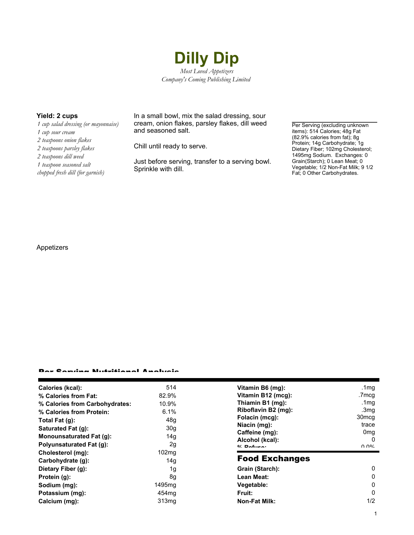

*1 cup salad dressing (or mayonnaise) 1 cup sour cream 2 teaspoons onion flakes 2 teaspoons parsley flakes 2 teaspoons dill weed 1 teaspoon seasoned salt chopped fresh dill (for garnish)*

**Yield: 2 cups** In a small bowl, mix the salad dressing, sour cream, onion flakes, parsley flakes, dill weed and seasoned salt.

Chill until ready to serve.

Just before serving, transfer to a serving bowl. Sprinkle with dill.

Per Serving (excluding unknown items): 514 Calories; 48g Fat (82.9% calories from fat); 8g Protein; 14g Carbohydrate; 1g Dietary Fiber; 102mg Cholesterol; 1495mg Sodium. Exchanges: 0 Grain(Starch); 0 Lean Meat; 0 Vegetable; 1/2 Non-Fat Milk; 9 1/2 Fat; 0 Other Carbohydrates.

### Appetizers

#### Per Serving Nutritional Analysis

| Calories (kcal):                | 514               | Vitamin B6 (mq):      | .1 <sub>mq</sub>  |
|---------------------------------|-------------------|-----------------------|-------------------|
| % Calories from Fat:            | 82.9%             | Vitamin B12 (mcg):    | .7mcg             |
| % Calories from Carbohydrates:  | 10.9%             | Thiamin B1 (mg):      | .1mg              |
| % Calories from Protein:        | 6.1%              | Riboflavin B2 (mg):   | .3 <sub>mg</sub>  |
| Total Fat $(g)$ :               | 48g               | Folacin (mcg):        | 30 <sub>mcq</sub> |
| Saturated Fat (g):              | 30 <sub>g</sub>   | Niacin (mg):          | trace             |
|                                 |                   | Caffeine (mg):        | 0 <sub>mq</sub>   |
| <b>Monounsaturated Fat (g):</b> | 14 <sub>g</sub>   | Alcohol (kcal):       | $\Omega$          |
| <b>Polyunsaturated Fat (g):</b> | 2g                | $0/2$ Dofition:       | በ በ%              |
| Cholesterol (mg):               | 102 <sub>mq</sub> |                       |                   |
| Carbohydrate (g):               | 14g               | <b>Food Exchanges</b> |                   |
| Dietary Fiber (g):              | 1g                | Grain (Starch):       | 0                 |
| Protein (g):                    | 8g                | Lean Meat:            | 0                 |
| Sodium (mg):                    | 1495mg            | Vegetable:            | 0                 |
| Potassium (mg):                 | 454mg             | Fruit:                | 0                 |
| Calcium (mg):                   | 313 <sub>mg</sub> | Non-Fat Milk:         | 1/2               |